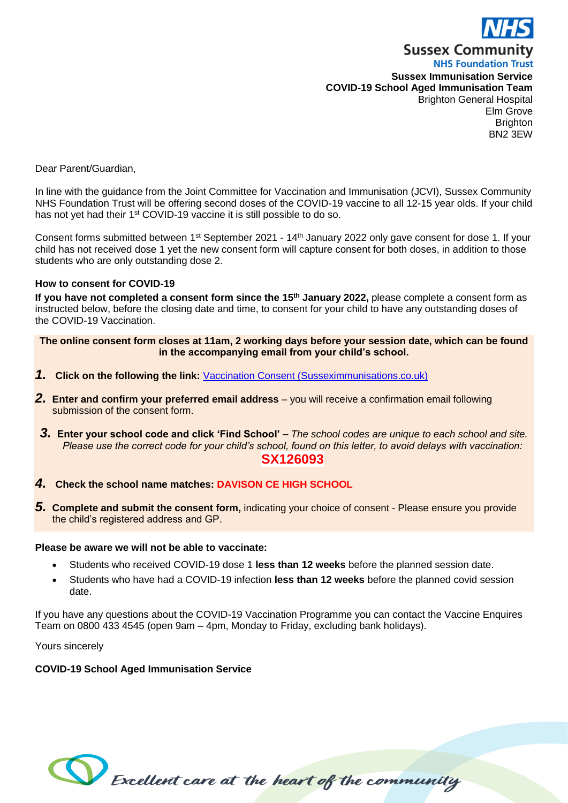

**NHS Foundation Trust Sussex Immunisation Service COVID-19 School Aged Immunisation Team** Brighton General Hospital Elm Grove **Brighton** BN2 3EW

Dear Parent/Guardian,

In line with the guidance from the Joint Committee for Vaccination and Immunisation (JCVI), Sussex Community NHS Foundation Trust will be offering second doses of the COVID-19 vaccine to all 12-15 year olds. If your child has not yet had their 1<sup>st</sup> COVID-19 vaccine it is still possible to do so.

Consent forms submitted between 1st September 2021 - 14th January 2022 only gave consent for dose 1. If your child has not received dose 1 yet the new consent form will capture consent for both doses, in addition to those students who are only outstanding dose 2.

#### **How to consent for COVID-19**

**If you have not completed a consent form since the 15th January 2022,** please complete a consent form as instructed below, before the closing date and time, to consent for your child to have any outstanding doses of the COVID-19 Vaccination.

**The online consent form closes at 11am, 2 working days before your session date, which can be found in the accompanying email from your child's school.**

- *1.* **Click on the following the link:** [Vaccination Consent \(Susseximmunisations.co.uk\)](https://www.susseximmunisations.co.uk/Forms/COVIDDose2)
- *2.* **Enter and confirm your preferred email address** you will receive a confirmation email following submission of the consent form.
- *3.* **Enter your school code and click 'Find School' –** *The school codes are unique to each school and site. Please use the correct code for your child's school, found on this letter, to avoid delays with vaccination:* **SX126093**
- *4.* **Check the school name matches: DAVISON CE HIGH SCHOOL**
- *5.* **Complete and submit the consent form,** indicating your choice of consent Please ensure you provide the child's registered address and GP.

#### **Please be aware we will not be able to vaccinate:**

- Students who received COVID-19 dose 1 **less than 12 weeks** before the planned session date.
- Students who have had a COVID-19 infection **less than 12 weeks** before the planned covid session date.

If you have any questions about the COVID-19 Vaccination Programme you can contact the Vaccine Enquires Team on 0800 433 4545 (open 9am – 4pm, Monday to Friday, excluding bank holidays).

Yours sincerely

#### **COVID-19 School Aged Immunisation Service**

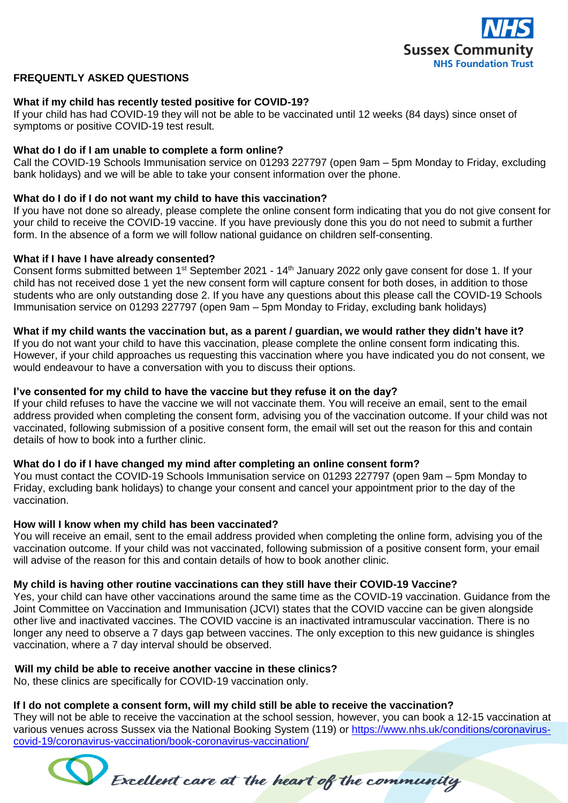

# **FREQUENTLY ASKED QUESTIONS**

## **What if my child has recently tested positive for COVID-19?**

If your child has had COVID-19 they will not be able to be vaccinated until 12 weeks (84 days) since onset of symptoms or positive COVID-19 test result*.*

## **What do I do if I am unable to complete a form online?**

Call the COVID-19 Schools Immunisation service on 01293 227797 (open 9am – 5pm Monday to Friday, excluding bank holidays) and we will be able to take your consent information over the phone.

## **What do I do if I do not want my child to have this vaccination?**

If you have not done so already, please complete the online consent form indicating that you do not give consent for your child to receive the COVID-19 vaccine. If you have previously done this you do not need to submit a further form. In the absence of a form we will follow national guidance on children self-consenting.

## **What if I have I have already consented?**

Consent forms submitted between 1<sup>st</sup> September 2021 - 14<sup>th</sup> January 2022 only gave consent for dose 1. If your child has not received dose 1 yet the new consent form will capture consent for both doses, in addition to those students who are only outstanding dose 2. If you have any questions about this please call the COVID-19 Schools Immunisation service on 01293 227797 (open 9am – 5pm Monday to Friday, excluding bank holidays)

## **What if my child wants the vaccination but, as a parent / guardian, we would rather they didn't have it?**

If you do not want your child to have this vaccination, please complete the online consent form indicating this. However, if your child approaches us requesting this vaccination where you have indicated you do not consent, we would endeavour to have a conversation with you to discuss their options.

## **I've consented for my child to have the vaccine but they refuse it on the day?**

If your child refuses to have the vaccine we will not vaccinate them. You will receive an email, sent to the email address provided when completing the consent form, advising you of the vaccination outcome. If your child was not vaccinated, following submission of a positive consent form, the email will set out the reason for this and contain details of how to book into a further clinic.

## **What do I do if I have changed my mind after completing an online consent form?**

You must contact the COVID-19 Schools Immunisation service on 01293 227797 (open 9am – 5pm Monday to Friday, excluding bank holidays) to change your consent and cancel your appointment prior to the day of the vaccination.

# **How will I know when my child has been vaccinated?**

You will receive an email, sent to the email address provided when completing the online form, advising you of the vaccination outcome. If your child was not vaccinated, following submission of a positive consent form, your email will advise of the reason for this and contain details of how to book another clinic.

### **My child is having other routine vaccinations can they still have their COVID-19 Vaccine?**

Yes, your child can have other vaccinations around the same time as the COVID-19 vaccination. Guidance from the Joint Committee on Vaccination and Immunisation (JCVI) states that the COVID vaccine can be given alongside other live and inactivated vaccines. The COVID vaccine is an inactivated intramuscular vaccination. There is no longer any need to observe a 7 days gap between vaccines. The only exception to this new guidance is shingles vaccination, where a 7 day interval should be observed.

# **Will my child be able to receive another vaccine in these clinics?**

No, these clinics are specifically for COVID-19 vaccination only.

# **If I do not complete a consent form, will my child still be able to receive the vaccination?**

They will not be able to receive the vaccination at the school session, however, you can book a 12-15 vaccination at various venues across Sussex via the National Booking System (119) or [https://www.nhs.uk/conditions/coronavirus](https://www.nhs.uk/conditions/coronavirus-covid-19/coronavirus-vaccination/book-coronavirus-vaccination/)[covid-19/coronavirus-vaccination/book-coronavirus-vaccination/](https://www.nhs.uk/conditions/coronavirus-covid-19/coronavirus-vaccination/book-coronavirus-vaccination/) 

Excellent care at the heart of the community